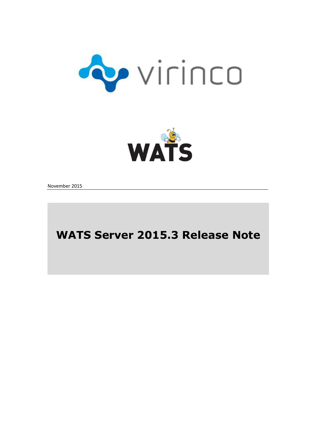



November 2015

# **WATS Server 2015.3 Release Note**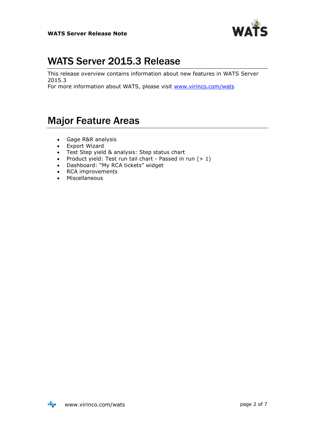

# WATS Server 2015.3 Release

This release overview contains information about new features in WATS Server 2015.3

For more information about WATS, please visit [www.virinco.com/wats](http://www.virinco.com/wats)

## Major Feature Areas

- Gage R&R analysis
- Export Wizard
- Test Step yield & analysis: Step status chart
- Product yield: Test run tail chart Passed in run  $(> 1)$
- Dashboard: "My RCA tickets" widget<br>• RCA improvements
- RCA improvements
- Miscellaneous

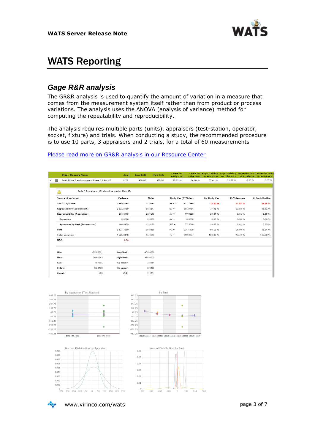

# WATS Reporting

#### *Gage R&R analysis*

The GR&R analysis is used to quantify the amount of variation in a measure that comes from the measurement system itself rather than from product or process variations. The analysis uses the ANOVA (analysis of variance) method for computing the repeatability and reproducibility.

The analysis requires multiple parts (units), appraisers (test-station, operator, socket, fixture) and trials. When conducting a study, the recommended procedure is to use 10 parts, 3 appraisers and 2 trials, for a total of 60 measurements

#### atability Step / Measure Name GR&R %  $Av<sub>a</sub>$ Low limit **High limit** Read Phase 2 and compare / Phase 2 RAW dif-8.73  $-450.00$ 450.00 34.64 %  $77.41%$ 33.55 % 79.92 %  $0.00%$  $0.00%$ Parts \* Appraisers (10) should be greater than 15.  $\triangle$ Source of variation Study Var (6\*Stdev) Variance Stdev % Study Var % Tolerance % Contribution **Total Gage R&R** 2.699.4268 51.9560  $CDD =$ 211 7260 79.92.94 24.64.94 collection 2 532.5789  $EV =$ 77.41 % 50.3247 301.9484 33.55 % 59.92 % **Repeatability (Equipment)** 166.8479 19.87 % **Reproducibilty (Appraiser)** 12.9170  $AV =$ 77.5018  $8.61%$ 3.95 %  $0.00%$  $0.00%$  $0.00%$ 0.0000  $0.0000$  $AV =$  $0.0000$ Appraiser Appraiser by Part (Interaction) 166.8479 12.9170  $INT =$ 77.5018 19.87 %  $8.61%$  $3.95%$  $PV =$ 234.4909  $60.11%$ 26.05 % Part 1 527.3880 39.0818 36.14 % 390.0837 100.00 % 100.00 % Total variation 4 226.8148 65.0140  $TV =$ 43.34 % NDC: 1.06 Min:  $-293,8201$ Low limit:  $-450,0000$ 209.0343 High limit: 450.0000 Max: 8.7301 Cp lower: 2.4514 Avg Stdev 62.3765 2.3581 Cp upper: Count:  $100$ Cpk: 2.3581

#### [Please read more on GR&R](http://support.virinco.com/entries/83627659-Gage-R-R-analysis) analysis in our Resource Center











www.virinco.com/wats example 3 of 7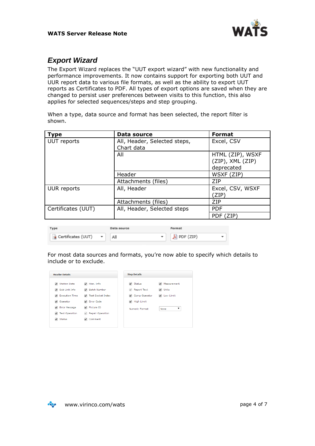

### *Export Wizard*

The Export Wizard replaces the "UUT export wizard" with new functionality and performance improvements. It now contains support for exporting both UUT and UUR report data to various file formats, as well as the ability to export UUT reports as Certificates to PDF. All types of export options are saved when they are changed to persist user preferences between visits to this function, this also applies for selected sequences/steps and step grouping.

When a type, data source and format has been selected, the report filter is shown.

| <b>Type</b>        | Data source                  | <b>Format</b>    |
|--------------------|------------------------------|------------------|
| UUT reports        | All, Header, Selected steps, | Excel, CSV       |
|                    | Chart data                   |                  |
|                    | All                          | HTML (ZIP), WSXF |
|                    |                              | (ZIP), XML (ZIP) |
|                    |                              | deprecated       |
|                    | Header                       | WSXF (ZIP)       |
|                    | Attachments (files)          | <b>ZIP</b>       |
| UUR reports        | All, Header                  | Excel, CSV, WSXF |
|                    |                              | (ZIP)            |
|                    | Attachments (files)          | <b>ZIP</b>       |
| Certificates (UUT) | All, Header, Selected steps  | <b>PDF</b>       |
|                    |                              | PDF (ZIP)        |

| Type | Data source | Format                          |  |
|------|-------------|---------------------------------|--|
|      |             | $\blacktriangleright$ PDF (ZIP) |  |

For most data sources and formats, you're now able to specify which details to include or to exclude.

| Misc. Info<br>Station Data<br>Sub Unit Info<br><b>Batch Number</b><br>$\overline{\mathcal{L}}$<br>Test Socket Index<br>✔ Execution Time<br><b>P</b> Error Code<br>√ Operator | $\blacktriangledown$ Status<br>Report Text<br>Comp Operator | √ Measurement<br>J Units<br>√ Low Limit |
|------------------------------------------------------------------------------------------------------------------------------------------------------------------------------|-------------------------------------------------------------|-----------------------------------------|
| ✔ Error Message<br>Fixture ID<br>✔ Test Operation<br>Repair Operation<br>$\blacktriangledown$ Status<br>Comment                                                              | √ High Limit<br>Numeric Format                              | ▼<br>None                               |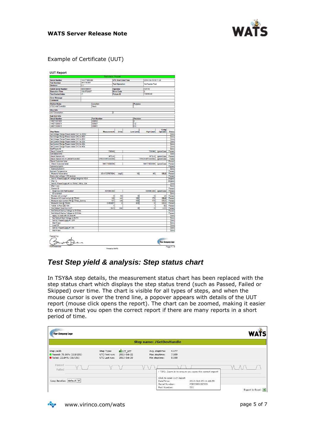

#### Example of Certificate (UUT)

|                                                                         |                   |                    | <b>Test status: Passed</b> |                            |                         |  |                   |                      |                          |                         |  |
|-------------------------------------------------------------------------|-------------------|--------------------|----------------------------|----------------------------|-------------------------|--|-------------------|----------------------|--------------------------|-------------------------|--|
|                                                                         |                   |                    |                            |                            |                         |  |                   |                      |                          |                         |  |
| <b>Serial Number</b>                                                    | 144171000384      |                    |                            | <b>UTC Start Date/Time</b> |                         |  |                   | 2014-Oct-19 03:11:29 |                          |                         |  |
| <b>Part Number</b>                                                      | 241119.905<br>2.1 |                    |                            | <b>Test Operation</b>      |                         |  |                   |                      | <b>Verification Test</b> |                         |  |
| <b>Revision</b>                                                         |                   |                    |                            |                            |                         |  |                   |                      |                          |                         |  |
| <b>Batch Serial Number</b>                                              | 0000099091        |                    |                            | Operator                   |                         |  |                   | nd1142               |                          |                         |  |
| <b>Execution Time</b>                                                   | 133.6723937       |                    |                            |                            | <b>Error Code</b>       |  |                   | o                    |                          |                         |  |
| <b>Test Socket Index</b>                                                | -1                |                    |                            | <b>Fixture ID</b>          |                         |  |                   | 709549#2             |                          |                         |  |
| <b>Error Message</b>                                                    |                   |                    |                            |                            |                         |  |                   |                      |                          |                         |  |
| <b>Comment</b>                                                          |                   |                    |                            |                            |                         |  |                   |                      |                          |                         |  |
|                                                                         |                   |                    |                            |                            |                         |  |                   |                      |                          |                         |  |
| <b>Station Name</b>                                                     |                   | Location           |                            |                            |                         |  | Purpose           |                      |                          |                         |  |
| VTECH-MTS-A-009                                                         |                   | Vtech              |                            |                            |                         |  |                   |                      |                          |                         |  |
| <b>Misc Info</b>                                                        |                   |                    |                            |                            |                         |  |                   |                      |                          |                         |  |
| <b>UUT Description</b>                                                  |                   |                    |                            | lo                         |                         |  |                   |                      |                          |                         |  |
| <b>Sub Unit Info</b>                                                    |                   |                    |                            |                            |                         |  |                   |                      |                          |                         |  |
| <b>Serial Number</b>                                                    |                   | <b>Part Number</b> |                            |                            |                         |  | <b>Revision</b>   |                      |                          |                         |  |
| 144071007365                                                            |                   | 300480             |                            |                            |                         |  | $\overline{2}$    |                      |                          |                         |  |
| 144071006374                                                            |                   | 305957             |                            |                            |                         |  | 1.2               |                      |                          |                         |  |
| 144071008415                                                            |                   | 300481             |                            |                            |                         |  | 23                |                      |                          |                         |  |
|                                                                         |                   |                    |                            |                            |                         |  |                   |                      |                          |                         |  |
| <b>Step Name</b>                                                        |                   |                    | <b>Measurement</b>         |                            | <b>Units</b>            |  | <b>Low Limit</b>  | <b>High Limit</b>    | Comp<br>Operator         | <b>Status</b>           |  |
| Set Voltage Range Power meter CH 1 to 300V                              |                   |                    |                            |                            |                         |  |                   |                      |                          | Done                    |  |
| Set Voltage Range Power meter CH 2 to 60V                               |                   |                    |                            |                            |                         |  |                   |                      |                          | Done                    |  |
| Set Voltage Range Power meter CH 3 to 60V                               |                   |                    |                            |                            |                         |  |                   |                      |                          | Done                    |  |
| Set Current Range Power meter CH 1 to 20A                               |                   |                    |                            |                            |                         |  |                   |                      |                          | Done                    |  |
| Set Current Range Power meter CH 2 to 40A                               |                   |                    |                            |                            |                         |  |                   |                      |                          | Done                    |  |
| Set Current Range Power meter CH 3 to 40A                               |                   |                    |                            |                            |                         |  |                   |                      |                          | Done                    |  |
| Get Fixture ID                                                          |                   |                    |                            |                            |                         |  |                   |                      |                          | Done                    |  |
| <b>Check Fixture ID</b>                                                 |                   |                    | 709549                     |                            |                         |  |                   | 709549               | <b>IgnoreCase</b>        | Passed                  |  |
| <b>Get Station Info</b>                                                 |                   |                    |                            |                            |                         |  |                   |                      |                          | Done                    |  |
| <b>Check Station Info</b>                                               |                   |                    | MTS-A                      |                            |                         |  |                   | MTS-A                | <b>IgnoreCase</b>        | Passed                  |  |
| Check Station Info != LAB-MTS-A-002                                     |                   | VTECH-MTS-A-009    |                            |                            |                         |  | VTECH-MTS-A-002   | Failed               |                          |                         |  |
| <b>Check Customer label</b>                                             |                   |                    |                            |                            |                         |  | <b>IgnoreCase</b> |                      |                          |                         |  |
| <b>Check Customer label</b>                                             |                   |                    | 144171000384               |                            |                         |  |                   | 144171000384         | <b>IgnoreCase</b>        | Passed                  |  |
| Connect pComm                                                           |                   |                    |                            |                            |                         |  |                   |                      |                          | Passed                  |  |
| Connect pComm                                                           |                   |                    |                            |                            |                         |  |                   |                      |                          | Done                    |  |
| <b>Ambient Temperature</b>                                              |                   |                    |                            |                            |                         |  |                   |                      |                          | Passed                  |  |
| Measure fixture temp                                                    |                   |                    | 35.41727667804             |                            | degC                    |  | 10                | 45                   | <b>GELE</b>              | Passed                  |  |
| Mains start voltage / SW revision                                       |                   |                    |                            |                            |                         |  |                   |                      |                          | Passed                  |  |
| Set AC PowerSupply #1 voltage range to HIGH                             |                   |                    |                            |                            |                         |  |                   |                      |                          | Skipped                 |  |
| Wait 1s                                                                 |                   |                    |                            |                            |                         |  |                   |                      |                          | Skipped                 |  |
| Set AC PowerSupply #1 to 75VAC, 50Hz, 32A                               |                   |                    |                            |                            |                         |  |                   |                      |                          | Done                    |  |
| Wait 1 sec                                                              |                   |                    |                            |                            |                         |  |                   |                      |                          | Done                    |  |
| Correct ID                                                              |                   |                    |                            |                            |                         |  |                   |                      |                          | Passed                  |  |
| Read Sec SW Part Number                                                 |                   |                    | 404166.009                 |                            |                         |  |                   | 404166.009           | <b>IgnoreCase</b>        | Passed                  |  |
| <b>ID</b> is correct                                                    |                   |                    |                            |                            |                         |  |                   |                      |                          | Done                    |  |
| Module not running?                                                     |                   |                    |                            | ō                          | Bit                     |  | ō                 | ō                    | LE                       | Passed                  |  |
| Measure AC Input current @ 75VAC                                        |                   |                    |                            | 140                        | mÂ                      |  | 100               | 170                  | <b>GELE</b>              | Passed                  |  |
| Measure input current PM @ 75Vac_dummy                                  |                   |                    |                            | 137                        | mA                      |  | 100               | 170                  | <b>GELE</b>              | Passed                  |  |
| Measure Vout @ 75VAC                                                    |                   |                    | 0.453967                   |                            | $\overline{\mathtt{v}}$ |  | $-0.5$            | g                    | GELE                     | Passed                  |  |
| Yellow & Red LED ON                                                     |                   |                    |                            | 1                          |                         |  |                   | 1                    | EQ                       | Passed                  |  |
| Get Default Vout from UUT                                               |                   |                    | 54.5                       |                            | Vdc                     |  | ō                 | ō                    | LOG                      | Passed                  |  |
| Set Default Startup Voltage to 54.5Vdc                                  |                   |                    |                            |                            |                         |  |                   |                      |                          | Passed                  |  |
| Set Default Startup Voltage to 54.5Vdc<br>Apply 1A load with DC load #1 |                   |                    |                            |                            |                         |  |                   |                      |                          | Passed<br>Done          |  |
| Set Default Start Voltage to 54.5V                                      |                   |                    |                            |                            |                         |  |                   |                      |                          | Done                    |  |
| Set AC PowerSupply #1 OFF                                               |                   |                    |                            |                            |                         |  |                   |                      |                          | Done                    |  |
| Wait 5 sec                                                              |                   |                    |                            |                            |                         |  |                   |                      |                          | Done                    |  |
| Load Off                                                                |                   |                    |                            |                            |                         |  |                   |                      |                          | Done                    |  |
| Set AC PowerSupply #1 ON                                                |                   |                    |                            |                            |                         |  |                   |                      |                          | Done                    |  |
| Wait 4 sec                                                              |                   |                    |                            |                            |                         |  |                   |                      |                          | Done                    |  |
| <b>Signed by</b>                                                        |                   |                    |                            |                            |                         |  |                   |                      |                          | <b>Your Company Log</b> |  |
| Administrator                                                           |                   |                    | Printed by WATS            |                            |                         |  |                   |                      |                          | Page 1/4                |  |

## *Test Step yield & analysis: Step status chart*

In TSY&A step details, the measurement status chart has been replaced with the step status chart which displays the step status trend (such as Passed, Failed or Skipped) over time. The chart is visible for all types of steps, and when the mouse cursor is over the trend line, a popover appears with details of the UUT report (mouse click opens the report). The chart can be zoomed, making it easier to ensure that you open the correct report if there are many reports in a short period of time.

| <b>Your Company Logo</b>                                           |                                               |                                                      |                                                  |                          |                                                        |                     |
|--------------------------------------------------------------------|-----------------------------------------------|------------------------------------------------------|--------------------------------------------------|--------------------------|--------------------------------------------------------|---------------------|
|                                                                    |                                               |                                                      | <b>Step name: /GetDevHandle</b>                  |                          |                                                        |                     |
| Step yield:<br>Passed: 76.16% (115/151)<br>Failed: 23.84% (36/151) | Step Type:<br>UTC First run:<br>UTC Last run: | $\frac{B}{BED}$ ET_PFT<br>2013-Oct-22<br>2013-Oct-29 | Avg. steptime:<br>Max steptime:<br>Min steptime: | 4.077<br>7.109<br>0.000  |                                                        |                     |
| Passed<br>Failed                                                   |                                               |                                                      |                                                  |                          | ! TIPS: Zoom in to ensure you open the correct report! |                     |
| Loop iteration $ default  \vee  $                                  |                                               |                                                      | DateTime:<br>Serial Number:<br>Part Number:      | Click to open UUT report | 2013-Oct-25 11:48:59<br>P389500132503<br>561           | Export to Excel: 36 |

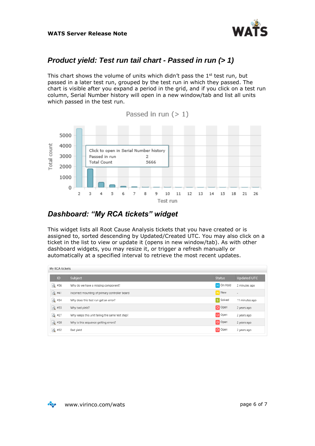

#### *Product yield: Test run tail chart - Passed in run (> 1)*

This chart shows the volume of units which didn't pass the 1<sup>st</sup> test run, but passed in a later test run, grouped by the test run in which they passed. The chart is visible after you expand a period in the grid, and if you click on a test run column, Serial Number history will open in a new window/tab and list all units which passed in the test run.





#### *Dashboard: "My RCA tickets" widget*

This widget lists all Root Cause Analysis tickets that you have created or is assigned to, sorted descending by Updated/Created UTC. You may also click on a ticket in the list to view or update it (opens in new window/tab). As with other dashboard widgets, you may resize it, or trigger a refresh manually or automatically at a specified interval to retrieve the most recent updates.

| My RCA tickets |                                                 |               |                          |
|----------------|-------------------------------------------------|---------------|--------------------------|
| ID             | Subject                                         | <b>Status</b> | <b>Updated UTC</b>       |
| $Q.$ #36       | Why do we have a missing component?             | H On Hold     | 2 minutes ago            |
| Q. #41         | Incorrect mounting of primary controller board  | N New         | $\overline{\phantom{a}}$ |
| $Q + 34$       | Why does this test run get an error?            | 5 Solved      | 11 minutes ago           |
| $Q + 33$       | Why bad yield?                                  | O Open        | 2 years ago              |
| $Q \cdot #27$  | Why keeps this unit failing the same test step? | O Open        | 2 years ago              |
| Q. #30         | Why is this sequence getting errors?            | O Open        | 2 years ago              |
| $Q + 32$       | Bad yield                                       | O Open        | 2 years ago              |